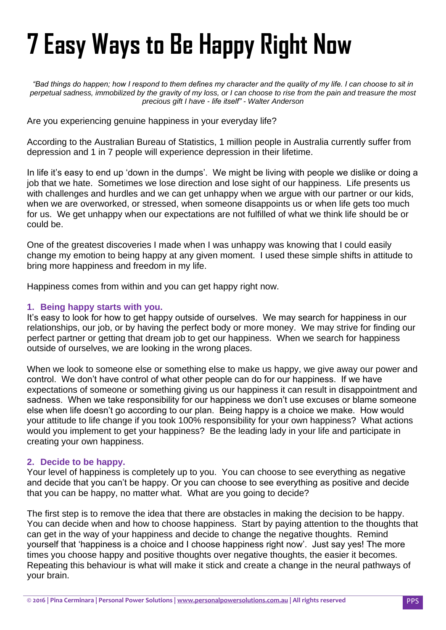# **7 Easy Ways to Be Happy Right Now**

*"Bad things do happen; how I respond to them defines my character and the quality of my life. I can choose to sit in perpetual sadness, immobilized by the gravity of my loss, or I can choose to rise from the pain and treasure the most precious gift I have - life itself" - [Walter Anderson](http://www.brainyquote.com/quotes/authors/w/walter_anderson.html)*

Are you experiencing genuine happiness in your everyday life?

According to the Australian Bureau of Statistics, 1 million people in Australia currently suffer from depression and 1 in 7 people will experience depression in their lifetime.

In life it's easy to end up 'down in the dumps'. We might be living with people we dislike or doing a job that we hate. Sometimes we lose direction and lose sight of our happiness. Life presents us with challenges and hurdles and we can get unhappy when we argue with our partner or our kids, when we are overworked, or stressed, when someone disappoints us or when life gets too much for us. We get unhappy when our expectations are not fulfilled of what we think life should be or could be.

One of the greatest discoveries I made when I was unhappy was knowing that I could easily change my emotion to being happy at any given moment. I used these simple shifts in attitude to bring more happiness and freedom in my life.

Happiness comes from within and you can get happy right now.

## **1. Being happy starts with you.**

It's easy to look for how to get happy outside of ourselves. We may search for happiness in our relationships, our job, or by having the perfect body or more money. We may strive for finding our perfect partner or getting that dream job to get our happiness. When we search for happiness outside of ourselves, we are looking in the wrong places.

When we look to someone else or something else to make us happy, we give away our power and control. We don"t have control of what other people can do for our happiness. If we have expectations of someone or something giving us our happiness it can result in disappointment and sadness. When we take responsibility for our happiness we don"t use excuses or blame someone else when life doesn"t go according to our plan. Being happy is a choice we make. How would your attitude to life change if you took 100% responsibility for your own happiness? What actions would you implement to get your happiness? Be the leading lady in your life and participate in creating your own happiness.

## **2. Decide to be happy.**

Your level of happiness is completely up to you. You can choose to see everything as negative and decide that you can"t be happy. Or you can choose to see everything as positive and decide that you can be happy, no matter what. What are you going to decide?

The first step is to remove the idea that there are obstacles in making the decision to be happy. You can decide when and how to choose happiness. Start by paying attention to the thoughts that can get in the way of your happiness and decide to change the negative thoughts. Remind yourself that "happiness is a choice and I choose happiness right now". Just say yes! The more times you choose happy and positive thoughts over negative thoughts, the easier it becomes. Repeating this behaviour is what will make it stick and create a change in the neural pathways of your brain.